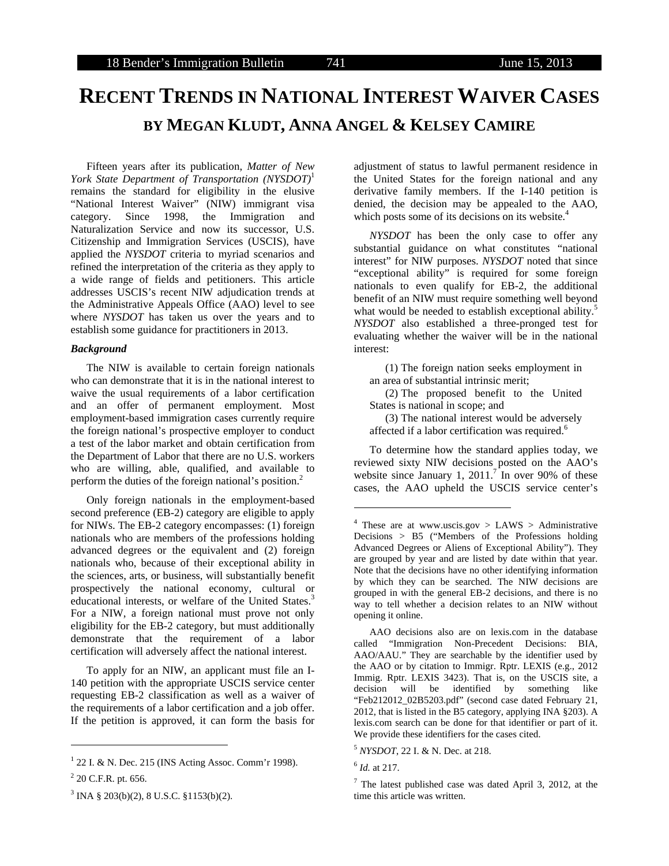# **RECENT TRENDS IN NATIONAL INTEREST WAIVER CASES BY MEGAN KLUDT, ANNA ANGEL & KELSEY CAMIRE**

Fifteen years after its publication, *Matter of New York State Department of Transportation (NYSDOT)*<sup>1</sup> remains the standard for eligibility in the elusive "National Interest Waiver" (NIW) immigrant visa category. Since 1998, the Immigration and Naturalization Service and now its successor, U.S. Citizenship and Immigration Services (USCIS), have applied the *NYSDOT* criteria to myriad scenarios and refined the interpretation of the criteria as they apply to a wide range of fields and petitioners. This article addresses USCIS's recent NIW adjudication trends at the Administrative Appeals Office (AAO) level to see where *NYSDOT* has taken us over the years and to establish some guidance for practitioners in 2013.

## *Background*

The NIW is available to certain foreign nationals who can demonstrate that it is in the national interest to waive the usual requirements of a labor certification and an offer of permanent employment. Most employment-based immigration cases currently require the foreign national's prospective employer to conduct a test of the labor market and obtain certification from the Department of Labor that there are no U.S. workers who are willing, able, qualified, and available to perform the duties of the foreign national's position.<sup>2</sup>

Only foreign nationals in the employment-based second preference (EB-2) category are eligible to apply for NIWs. The EB-2 category encompasses: (1) foreign nationals who are members of the professions holding advanced degrees or the equivalent and (2) foreign nationals who, because of their exceptional ability in the sciences, arts, or business, will substantially benefit prospectively the national economy, cultural or educational interests, or welfare of the United States.<sup>3</sup> For a NIW, a foreign national must prove not only eligibility for the EB-2 category, but must additionally demonstrate that the requirement of a labor certification will adversely affect the national interest.

To apply for an NIW, an applicant must file an I-140 petition with the appropriate USCIS service center requesting EB-2 classification as well as a waiver of the requirements of a labor certification and a job offer. If the petition is approved, it can form the basis for

l

adjustment of status to lawful permanent residence in the United States for the foreign national and any derivative family members. If the I-140 petition is denied, the decision may be appealed to the AAO, which posts some of its decisions on its website.<sup>4</sup>

*NYSDOT* has been the only case to offer any substantial guidance on what constitutes "national interest" for NIW purposes. *NYSDOT* noted that since "exceptional ability" is required for some foreign nationals to even qualify for EB-2, the additional benefit of an NIW must require something well beyond what would be needed to establish exceptional ability.<sup>5</sup> *NYSDOT* also established a three-pronged test for evaluating whether the waiver will be in the national interest:

(1) The foreign nation seeks employment in an area of substantial intrinsic merit;

(2) The proposed benefit to the United States is national in scope; and

(3) The national interest would be adversely affected if a labor certification was required.<sup>6</sup>

To determine how the standard applies today, we reviewed sixty NIW decisions posted on the AAO's website since January 1, 2011.<sup>7</sup> In over 90% of these cases, the AAO upheld the USCIS service center's

<sup>1</sup> 22 I. & N. Dec. 215 (INS Acting Assoc. Comm'r 1998).

 $2$  20 C.F.R. pt. 656.

 $3$  INA § 203(b)(2), 8 U.S.C. §1153(b)(2).

<sup>&</sup>lt;sup>4</sup> These are at www.uscis.gov > LAWS > Administrative Decisions > B5 ("Members of the Professions holding Advanced Degrees or Aliens of Exceptional Ability"). They are grouped by year and are listed by date within that year. Note that the decisions have no other identifying information by which they can be searched. The NIW decisions are grouped in with the general EB-2 decisions, and there is no way to tell whether a decision relates to an NIW without opening it online.

AAO decisions also are on lexis.com in the database called "Immigration Non-Precedent Decisions: BIA, AAO/AAU." They are searchable by the identifier used by the AAO or by citation to Immigr. Rptr. LEXIS (e.g., 2012 Immig. Rptr. LEXIS 3423). That is, on the USCIS site, a decision will be identified by something like "Feb212012\_02B5203.pdf" (second case dated February 21, 2012, that is listed in the B5 category, applying INA §203). A lexis.com search can be done for that identifier or part of it. We provide these identifiers for the cases cited.

<sup>5</sup> *NYSDOT*, 22 I. & N. Dec. at 218.

<sup>6</sup> *Id.* at 217.

<sup>&</sup>lt;sup>7</sup> The latest published case was dated April 3, 2012, at the time this article was written.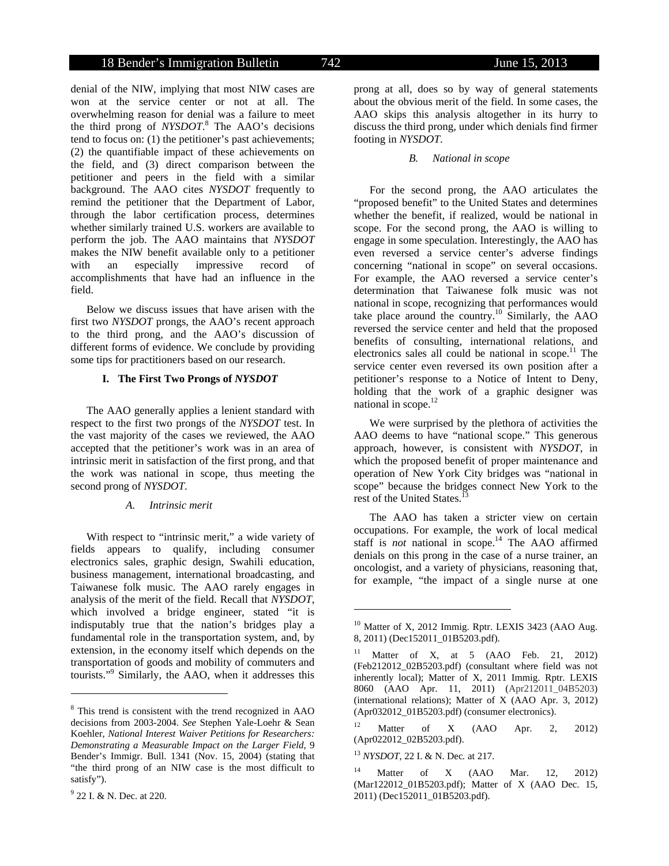denial of the NIW, implying that most NIW cases are won at the service center or not at all. The overwhelming reason for denial was a failure to meet the third prong of *NYSDOT*. 8 The AAO's decisions tend to focus on: (1) the petitioner's past achievements; (2) the quantifiable impact of these achievements on the field, and (3) direct comparison between the petitioner and peers in the field with a similar background. The AAO cites *NYSDOT* frequently to remind the petitioner that the Department of Labor, through the labor certification process, determines whether similarly trained U.S. workers are available to perform the job. The AAO maintains that *NYSDOT*  makes the NIW benefit available only to a petitioner with an especially impressive record of accomplishments that have had an influence in the field.

Below we discuss issues that have arisen with the first two *NYSDOT* prongs, the AAO's recent approach to the third prong, and the AAO's discussion of different forms of evidence. We conclude by providing some tips for practitioners based on our research.

## **I. The First Two Prongs of** *NYSDOT*

The AAO generally applies a lenient standard with respect to the first two prongs of the *NYSDOT* test. In the vast majority of the cases we reviewed, the AAO accepted that the petitioner's work was in an area of intrinsic merit in satisfaction of the first prong, and that the work was national in scope, thus meeting the second prong of *NYSDOT*.

## *A. Intrinsic merit*

With respect to "intrinsic merit," a wide variety of fields appears to qualify, including consumer electronics sales, graphic design, Swahili education, business management, international broadcasting, and Taiwanese folk music. The AAO rarely engages in analysis of the merit of the field. Recall that *NYSDOT*, which involved a bridge engineer, stated "it is indisputably true that the nation's bridges play a fundamental role in the transportation system, and, by extension, in the economy itself which depends on the transportation of goods and mobility of commuters and tourists."9 Similarly, the AAO, when it addresses this

l

#### *B. National in scope*

footing in *NYSDOT*.

For the second prong, the AAO articulates the "proposed benefit" to the United States and determines whether the benefit, if realized, would be national in scope. For the second prong, the AAO is willing to engage in some speculation. Interestingly, the AAO has even reversed a service center's adverse findings concerning "national in scope" on several occasions. For example, the AAO reversed a service center's determination that Taiwanese folk music was not national in scope, recognizing that performances would take place around the country.<sup>10</sup> Similarly, the AAO reversed the service center and held that the proposed benefits of consulting, international relations, and electronics sales all could be national in scope. $11$  The service center even reversed its own position after a petitioner's response to a Notice of Intent to Deny, holding that the work of a graphic designer was national in scope.<sup>12</sup>

We were surprised by the plethora of activities the AAO deems to have "national scope." This generous approach, however, is consistent with *NYSDOT*, in which the proposed benefit of proper maintenance and operation of New York City bridges was "national in scope" because the bridges connect New York to the rest of the United States.<sup>1</sup>

The AAO has taken a stricter view on certain occupations. For example, the work of local medical staff is *not* national in scope.<sup>14</sup> The AAO affirmed denials on this prong in the case of a nurse trainer, an oncologist, and a variety of physicians, reasoning that, for example, "the impact of a single nurse at one

<sup>12</sup> Matter of X (AAO Apr. 2, 2012) (Apr022012\_02B5203.pdf).

<sup>13</sup> *NYSDOT*, 22 I. & N. Dec*.* at 217.

<sup>8</sup> This trend is consistent with the trend recognized in AAO decisions from 2003-2004. *See* Stephen Yale-Loehr & Sean Koehler, *National Interest Waiver Petitions for Researchers: Demonstrating a Measurable Impact on the Larger Field*, 9 Bender's Immigr. Bull. 1341 (Nov. 15, 2004) (stating that "the third prong of an NIW case is the most difficult to satisfy").

<sup>&</sup>lt;sup>9</sup> 22 I. & N. Dec. at 220.

 $10$  Matter of X, 2012 Immig. Rptr. LEXIS 3423 (AAO Aug. 8, 2011) (Dec152011\_01B5203.pdf).

<sup>&</sup>lt;sup>11</sup> Matter of X, at 5 (AAO Feb. 21, 2012) (Feb212012\_02B5203.pdf) (consultant where field was not inherently local); Matter of X, 2011 Immig. Rptr. LEXIS 8060 (AAO Apr. 11, 2011) (Apr212011\_04B5203) (international relations); Matter of X (AAO Apr. 3, 2012) (Apr032012\_01B5203.pdf) (consumer electronics).

<sup>&</sup>lt;sup>14</sup> Matter of X (AAO Mar. 12, 2012) (Mar122012\_01B5203.pdf); Matter of X (AAO Dec. 15, 2011) (Dec152011\_01B5203.pdf).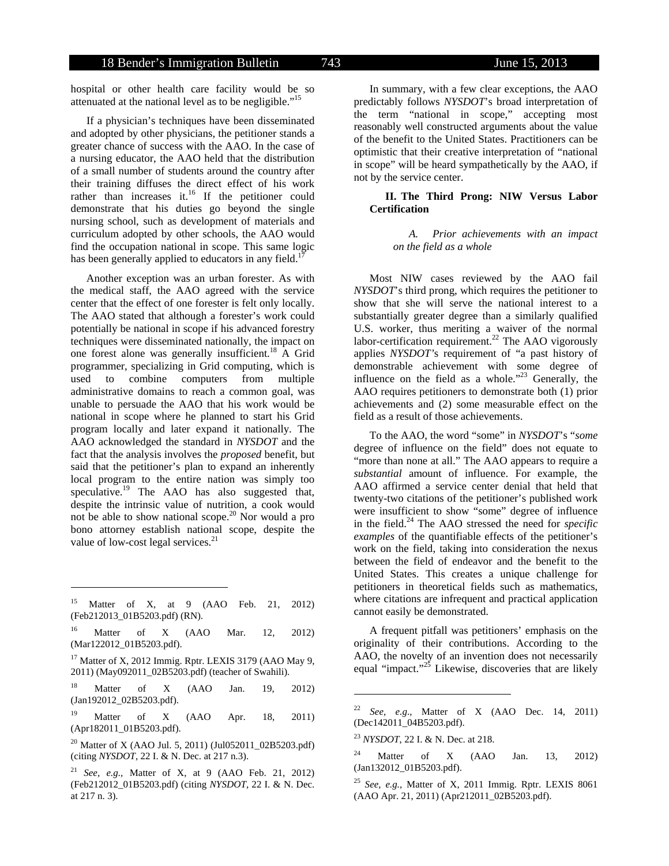hospital or other health care facility would be so attenuated at the national level as to be negligible."<sup>15</sup>

If a physician's techniques have been disseminated and adopted by other physicians, the petitioner stands a greater chance of success with the AAO. In the case of a nursing educator, the AAO held that the distribution of a small number of students around the country after their training diffuses the direct effect of his work rather than increases it.<sup>16</sup> If the petitioner could demonstrate that his duties go beyond the single nursing school, such as development of materials and curriculum adopted by other schools, the AAO would find the occupation national in scope. This same logic has been generally applied to educators in any field.<sup>1</sup>

Another exception was an urban forester. As with the medical staff, the AAO agreed with the service center that the effect of one forester is felt only locally. The AAO stated that although a forester's work could potentially be national in scope if his advanced forestry techniques were disseminated nationally, the impact on one forest alone was generally insufficient.<sup>18</sup> A Grid programmer, specializing in Grid computing, which is used to combine computers from multiple administrative domains to reach a common goal, was unable to persuade the AAO that his work would be national in scope where he planned to start his Grid program locally and later expand it nationally. The AAO acknowledged the standard in *NYSDOT* and the fact that the analysis involves the *proposed* benefit, but said that the petitioner's plan to expand an inherently local program to the entire nation was simply too speculative.<sup>19</sup> The AAO has also suggested that, despite the intrinsic value of nutrition, a cook would not be able to show national scope.<sup>20</sup> Nor would a pro bono attorney establish national scope, despite the value of low-cost legal services.<sup>21</sup>

l

In summary, with a few clear exceptions, the AAO predictably follows *NYSDOT*'s broad interpretation of the term "national in scope," accepting most reasonably well constructed arguments about the value of the benefit to the United States. Practitioners can be optimistic that their creative interpretation of "national in scope" will be heard sympathetically by the AAO, if not by the service center.

## **II. The Third Prong: NIW Versus Labor Certification**

## *A. Prior achievements with an impact on the field as a whole*

Most NIW cases reviewed by the AAO fail *NYSDOT*'s third prong, which requires the petitioner to show that she will serve the national interest to a substantially greater degree than a similarly qualified U.S. worker, thus meriting a waiver of the normal labor-certification requirement.<sup>22</sup> The AAO vigorously applies *NYSDOT'*s requirement of "a past history of demonstrable achievement with some degree of influence on the field as a whole."<sup>23</sup> Generally, the AAO requires petitioners to demonstrate both (1) prior achievements and (2) some measurable effect on the field as a result of those achievements.

To the AAO, the word "some" in *NYSDOT*'s "*some* degree of influence on the field" does not equate to "more than none at all." The AAO appears to require a *substantial* amount of influence. For example, the AAO affirmed a service center denial that held that twenty-two citations of the petitioner's published work were insufficient to show "some" degree of influence in the field.24 The AAO stressed the need for *specific examples* of the quantifiable effects of the petitioner's work on the field, taking into consideration the nexus between the field of endeavor and the benefit to the United States. This creates a unique challenge for petitioners in theoretical fields such as mathematics, where citations are infrequent and practical application cannot easily be demonstrated.

A frequent pitfall was petitioners' emphasis on the originality of their contributions. According to the AAO, the novelty of an invention does not necessarily equal "impact."<sup>25</sup> Likewise, discoveries that are likely

<sup>&</sup>lt;sup>15</sup> Matter of X, at 9 (AAO Feb. 21, 2012) (Feb212013\_01B5203.pdf) (RN).

<sup>&</sup>lt;sup>16</sup> Matter of X (AAO Mar. 12, 2012) (Mar122012\_01B5203.pdf).

<sup>&</sup>lt;sup>17</sup> Matter of X, 2012 Immig. Rptr. LEXIS 3179 (AAO May 9, 2011) (May092011\_02B5203.pdf) (teacher of Swahili).

<sup>&</sup>lt;sup>18</sup> Matter of X (AAO Jan. 19, 2012) (Jan192012\_02B5203.pdf).

<sup>19</sup> Matter of X (AAO Apr. 18, 2011) (Apr182011\_01B5203.pdf).

<sup>&</sup>lt;sup>20</sup> Matter of X (AAO Jul. 5, 2011) (Jul052011\_02B5203.pdf) (citing *NYSDOT*, 22 I. & N. Dec. at 217 n.3).

See, e.g., Matter of X, at 9 (AAO Feb. 21, 2012) (Feb212012\_01B5203.pdf) (citing *NYSDOT*, 22 I. & N. Dec. at 217 n. 3).

<sup>22</sup> *See, e.g*., Matter of X (AAO Dec. 14, 2011) (Dec142011\_04B5203.pdf).

<sup>23</sup> *NYSDOT*, 22 I. & N. Dec. at 218.

Matter of X  $(AAO$  Jan. 13, 2012) (Jan132012\_01B5203.pdf).

<sup>25</sup> *See, e.g.,* Matter of X, 2011 Immig. Rptr. LEXIS 8061 (AAO Apr. 21, 2011) (Apr212011\_02B5203.pdf).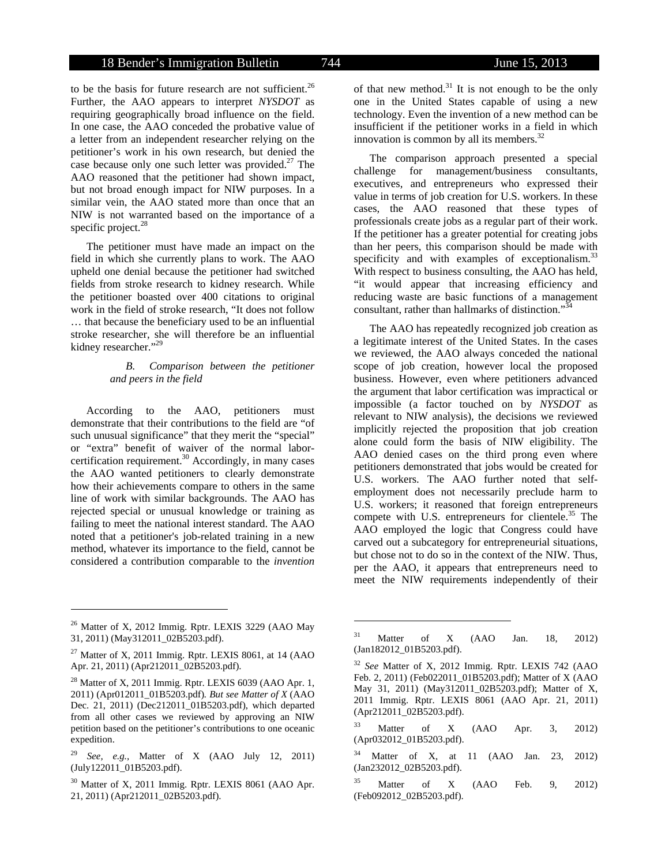to be the basis for future research are not sufficient.<sup>26</sup> Further, the AAO appears to interpret *NYSDOT* as requiring geographically broad influence on the field. In one case, the AAO conceded the probative value of a letter from an independent researcher relying on the petitioner's work in his own research, but denied the case because only one such letter was provided.<sup>27</sup> The AAO reasoned that the petitioner had shown impact, but not broad enough impact for NIW purposes. In a similar vein, the AAO stated more than once that an NIW is not warranted based on the importance of a specific project.<sup>28</sup>

The petitioner must have made an impact on the field in which she currently plans to work. The AAO upheld one denial because the petitioner had switched fields from stroke research to kidney research. While the petitioner boasted over 400 citations to original work in the field of stroke research, "It does not follow … that because the beneficiary used to be an influential stroke researcher, she will therefore be an influential kidney researcher."<sup>29</sup>

## *B. Comparison between the petitioner and peers in the field*

According to the AAO, petitioners must demonstrate that their contributions to the field are "of such unusual significance" that they merit the "special" or "extra" benefit of waiver of the normal laborcertification requirement. $30$  Accordingly, in many cases the AAO wanted petitioners to clearly demonstrate how their achievements compare to others in the same line of work with similar backgrounds. The AAO has rejected special or unusual knowledge or training as failing to meet the national interest standard. The AAO noted that a petitioner's job-related training in a new method, whatever its importance to the field, cannot be considered a contribution comparable to the *invention*

l

of that new method.<sup>31</sup> It is not enough to be the only one in the United States capable of using a new technology. Even the invention of a new method can be insufficient if the petitioner works in a field in which innovation is common by all its members. $^{32}$ 

The comparison approach presented a special challenge for management/business consultants, executives, and entrepreneurs who expressed their value in terms of job creation for U.S. workers. In these cases, the AAO reasoned that these types of professionals create jobs as a regular part of their work. If the petitioner has a greater potential for creating jobs than her peers, this comparison should be made with specificity and with examples of exceptionalism. $33$ With respect to business consulting, the AAO has held, "it would appear that increasing efficiency and reducing waste are basic functions of a management consultant, rather than hallmarks of distinction."<sup>34</sup>

The AAO has repeatedly recognized job creation as a legitimate interest of the United States. In the cases we reviewed, the AAO always conceded the national scope of job creation, however local the proposed business. However, even where petitioners advanced the argument that labor certification was impractical or impossible (a factor touched on by *NYSDOT* as relevant to NIW analysis), the decisions we reviewed implicitly rejected the proposition that job creation alone could form the basis of NIW eligibility. The AAO denied cases on the third prong even where petitioners demonstrated that jobs would be created for U.S. workers. The AAO further noted that selfemployment does not necessarily preclude harm to U.S. workers; it reasoned that foreign entrepreneurs compete with U.S. entrepreneurs for clientele.<sup>35</sup> The AAO employed the logic that Congress could have carved out a subcategory for entrepreneurial situations, but chose not to do so in the context of the NIW. Thus, per the AAO, it appears that entrepreneurs need to meet the NIW requirements independently of their

 $\overline{a}$ 

 $33$  Matter of X (AAO Apr. 3, 2012) (Apr032012\_01B5203.pdf).

 $34$  Matter of X, at 11 (AAO Jan. 23, 2012) (Jan232012\_02B5203.pdf).

 $35$  Matter of X (AAO Feb. 9, 2012) (Feb092012\_02B5203.pdf).

<sup>&</sup>lt;sup>26</sup> Matter of X, 2012 Immig. Rptr. LEXIS 3229 (AAO May 31, 2011) (May312011\_02B5203.pdf).

 $27$  Matter of X, 2011 Immig. Rptr. LEXIS 8061, at 14 (AAO Apr. 21, 2011) (Apr212011\_02B5203.pdf).

 $^{28}$  Matter of X, 2011 Immig. Rptr. LEXIS 6039 (AAO Apr. 1, 2011) (Apr012011\_01B5203.pdf)*. But see Matter of X* (AAO Dec. 21, 2011) (Dec212011\_01B5203.pdf), which departed from all other cases we reviewed by approving an NIW petition based on the petitioner's contributions to one oceanic expedition.

<sup>29</sup> *See, e.g.,* Matter of X (AAO July 12, 2011) (July122011\_01B5203.pdf).

<sup>&</sup>lt;sup>30</sup> Matter of X, 2011 Immig. Rptr. LEXIS 8061 (AAO Apr. 21, 2011) (Apr212011\_02B5203.pdf).

 $31$  Matter of X (AAO Jan. 18, 2012) (Jan182012\_01B5203.pdf).

<sup>32</sup> *See* Matter of X, 2012 Immig. Rptr. LEXIS 742 (AAO Feb. 2, 2011) (Feb022011\_01B5203.pdf); Matter of X (AAO May 31, 2011) (May312011\_02B5203.pdf); Matter of X, 2011 Immig. Rptr. LEXIS 8061 (AAO Apr. 21, 2011) (Apr212011\_02B5203.pdf).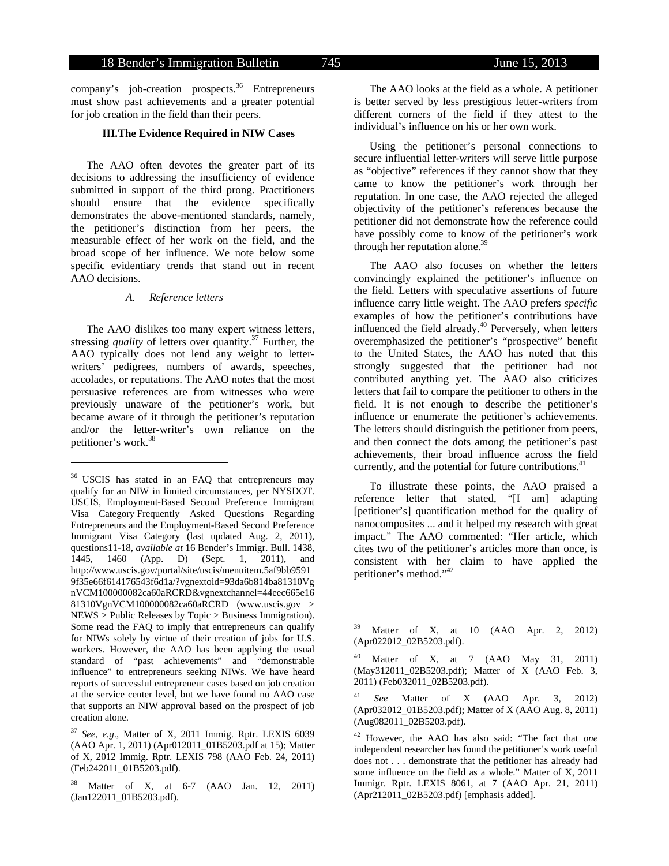company's job-creation prospects.<sup>36</sup> Entrepreneurs must show past achievements and a greater potential for job creation in the field than their peers.

# **III.The Evidence Required in NIW Cases**

The AAO often devotes the greater part of its decisions to addressing the insufficiency of evidence submitted in support of the third prong. Practitioners should ensure that the evidence specifically demonstrates the above-mentioned standards, namely, the petitioner's distinction from her peers, the measurable effect of her work on the field, and the broad scope of her influence. We note below some specific evidentiary trends that stand out in recent AAO decisions.

#### *A. Reference letters*

l

The AAO dislikes too many expert witness letters, stressing *quality* of letters over quantity.<sup>37</sup> Further, the AAO typically does not lend any weight to letterwriters' pedigrees, numbers of awards, speeches, accolades, or reputations. The AAO notes that the most persuasive references are from witnesses who were previously unaware of the petitioner's work, but became aware of it through the petitioner's reputation and/or the letter-writer's own reliance on the petitioner's work.<sup>38</sup>

The AAO looks at the field as a whole. A petitioner is better served by less prestigious letter-writers from different corners of the field if they attest to the individual's influence on his or her own work.

Using the petitioner's personal connections to secure influential letter-writers will serve little purpose as "objective" references if they cannot show that they came to know the petitioner's work through her reputation. In one case, the AAO rejected the alleged objectivity of the petitioner's references because the petitioner did not demonstrate how the reference could have possibly come to know of the petitioner's work through her reputation alone.<sup>39</sup>

The AAO also focuses on whether the letters convincingly explained the petitioner's influence on the field. Letters with speculative assertions of future influence carry little weight. The AAO prefers *specific* examples of how the petitioner's contributions have influenced the field already.<sup>40</sup> Perversely, when letters overemphasized the petitioner's "prospective" benefit to the United States, the AAO has noted that this strongly suggested that the petitioner had not contributed anything yet. The AAO also criticizes letters that fail to compare the petitioner to others in the field. It is not enough to describe the petitioner's influence or enumerate the petitioner's achievements. The letters should distinguish the petitioner from peers, and then connect the dots among the petitioner's past achievements, their broad influence across the field currently, and the potential for future contributions.<sup>41</sup>

To illustrate these points, the AAO praised a reference letter that stated, "[I am] adapting [petitioner's] quantification method for the quality of nanocomposites ... and it helped my research with great impact." The AAO commented: "Her article, which cites two of the petitioner's articles more than once, is consistent with her claim to have applied the petitioner's method."<sup>42</sup>

 $36$  USCIS has stated in an FAQ that entrepreneurs may qualify for an NIW in limited circumstances, per NYSDOT. USCIS, Employment-Based Second Preference Immigrant Visa Category Frequently Asked Questions Regarding Entrepreneurs and the Employment-Based Second Preference Immigrant Visa Category (last updated Aug. 2, 2011), questions11-18, *available at* 16 Bender's Immigr. Bull. 1438, 1445, 1460 (App. D) (Sept. 1, 2011), and http://www.uscis.gov/portal/site/uscis/menuitem.5af9bb9591 9f35e66f614176543f6d1a/?vgnextoid=93da6b814ba81310Vg nVCM100000082ca60aRCRD&vgnextchannel=44eec665e16 81310VgnVCM100000082ca60aRCRD (www.uscis.gov > NEWS > Public Releases by Topic > Business Immigration). Some read the FAQ to imply that entrepreneurs can qualify for NIWs solely by virtue of their creation of jobs for U.S. workers. However, the AAO has been applying the usual standard of "past achievements" and "demonstrable influence" to entrepreneurs seeking NIWs. We have heard reports of successful entrepreneur cases based on job creation at the service center level, but we have found no AAO case that supports an NIW approval based on the prospect of job creation alone.

<sup>37</sup> *See, e.g*., Matter of X, 2011 Immig. Rptr. LEXIS 6039 (AAO Apr. 1, 2011) (Apr012011\_01B5203.pdf at 15); Matter of X, 2012 Immig. Rptr. LEXIS 798 (AAO Feb. 24, 2011) (Feb242011\_01B5203.pdf).

Matter of X, at 6-7 (AAO Jan. 12, 2011) (Jan122011\_01B5203.pdf).

 $39$  Matter of X, at 10 (AAO Apr. 2, 2012) (Apr022012\_02B5203.pdf).

 $^{40}$  Matter of X, at 7 (AAO May 31, 2011) (May312011\_02B5203.pdf); Matter of X (AAO Feb. 3, 2011) (Feb032011\_02B5203.pdf).

<sup>41</sup> *See* Matter of X (AAO Apr. 3, 2012) (Apr032012\_01B5203.pdf); Matter of X (AAO Aug. 8, 2011) (Aug082011\_02B5203.pdf).

<sup>42</sup> However, the AAO has also said: "The fact that *one* independent researcher has found the petitioner's work useful does not . . . demonstrate that the petitioner has already had some influence on the field as a whole." Matter of X, 2011 Immigr. Rptr. LEXIS 8061, at 7 (AAO Apr. 21, 2011) (Apr212011\_02B5203.pdf) [emphasis added].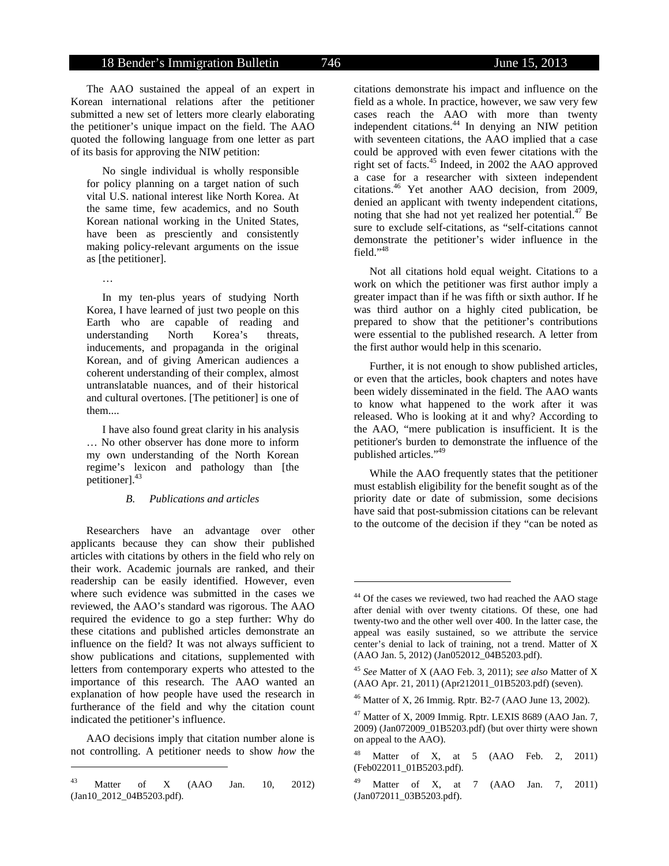The AAO sustained the appeal of an expert in Korean international relations after the petitioner submitted a new set of letters more clearly elaborating the petitioner's unique impact on the field. The AAO quoted the following language from one letter as part of its basis for approving the NIW petition:

No single individual is wholly responsible for policy planning on a target nation of such vital U.S. national interest like North Korea. At the same time, few academics, and no South Korean national working in the United States, have been as presciently and consistently making policy-relevant arguments on the issue as [the petitioner].

…

In my ten-plus years of studying North Korea, I have learned of just two people on this Earth who are capable of reading and understanding North Korea's threats, inducements, and propaganda in the original Korean, and of giving American audiences a coherent understanding of their complex, almost untranslatable nuances, and of their historical and cultural overtones. [The petitioner] is one of them....

I have also found great clarity in his analysis … No other observer has done more to inform my own understanding of the North Korean regime's lexicon and pathology than [the petitioner].<sup>43</sup>

#### *B. Publications and articles*

Researchers have an advantage over other applicants because they can show their published articles with citations by others in the field who rely on their work. Academic journals are ranked, and their readership can be easily identified. However, even where such evidence was submitted in the cases we reviewed, the AAO's standard was rigorous. The AAO required the evidence to go a step further: Why do these citations and published articles demonstrate an influence on the field? It was not always sufficient to show publications and citations, supplemented with letters from contemporary experts who attested to the importance of this research. The AAO wanted an explanation of how people have used the research in furtherance of the field and why the citation count indicated the petitioner's influence.

AAO decisions imply that citation number alone is not controlling. A petitioner needs to show *how* the

l

citations demonstrate his impact and influence on the field as a whole. In practice, however, we saw very few cases reach the AAO with more than twenty independent citations.<sup>44</sup> In denying an NIW petition with seventeen citations, the AAO implied that a case could be approved with even fewer citations with the right set of facts.45 Indeed, in 2002 the AAO approved a case for a researcher with sixteen independent citations.46 Yet another AAO decision, from 2009, denied an applicant with twenty independent citations, noting that she had not yet realized her potential. $^{47}$  Be sure to exclude self-citations, as "self-citations cannot demonstrate the petitioner's wider influence in the field."48

Not all citations hold equal weight. Citations to a work on which the petitioner was first author imply a greater impact than if he was fifth or sixth author. If he was third author on a highly cited publication, be prepared to show that the petitioner's contributions were essential to the published research. A letter from the first author would help in this scenario.

Further, it is not enough to show published articles, or even that the articles, book chapters and notes have been widely disseminated in the field. The AAO wants to know what happened to the work after it was released. Who is looking at it and why? According to the AAO, "mere publication is insufficient. It is the petitioner's burden to demonstrate the influence of the published articles."<sup>49</sup>

While the AAO frequently states that the petitioner must establish eligibility for the benefit sought as of the priority date or date of submission, some decisions have said that post-submission citations can be relevant to the outcome of the decision if they "can be noted as

-

 $^{43}$  Matter of X (AAO Jan. 10, 2012) (Jan10\_2012\_04B5203.pdf).

<sup>&</sup>lt;sup>44</sup> Of the cases we reviewed, two had reached the AAO stage after denial with over twenty citations. Of these, one had twenty-two and the other well over 400. In the latter case, the appeal was easily sustained, so we attribute the service center's denial to lack of training, not a trend. Matter of X (AAO Jan. 5, 2012) (Jan052012\_04B5203.pdf).

<sup>45</sup> *See* Matter of X (AAO Feb. 3, 2011); *see also* Matter of X (AAO Apr. 21, 2011) (Apr212011\_01B5203.pdf) (seven).

<sup>46</sup> Matter of X, 26 Immig. Rptr. B2-7 (AAO June 13, 2002).

 $47$  Matter of X, 2009 Immig. Rptr. LEXIS 8689 (AAO Jan. 7, 2009) (Jan072009\_01B5203.pdf) (but over thirty were shown on appeal to the AAO).

<sup>&</sup>lt;sup>48</sup> Matter of X, at 5 (AAO Feb. 2, 2011) (Feb022011\_01B5203.pdf).

Matter of X, at 7 (AAO Jan. 7, 2011) (Jan072011\_03B5203.pdf).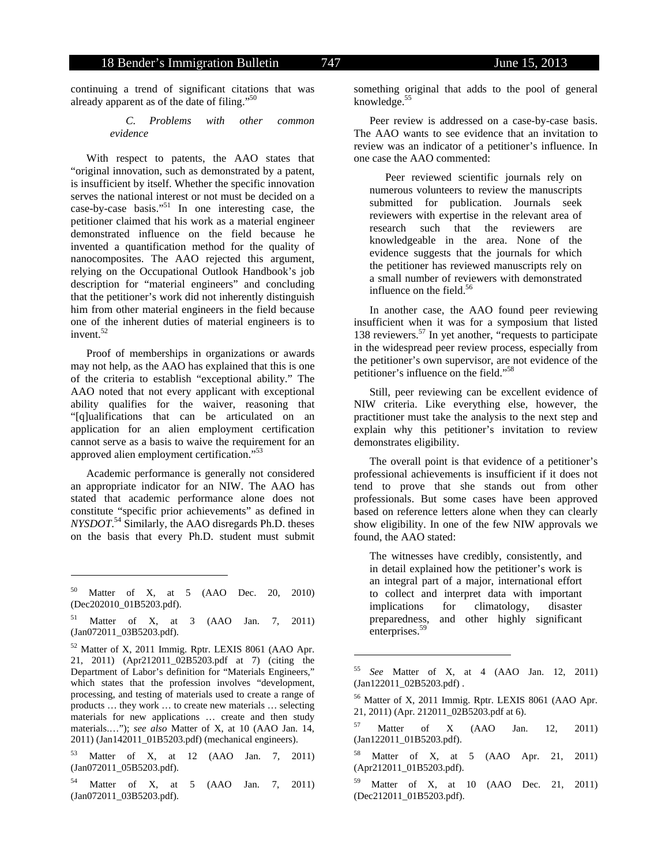continuing a trend of significant citations that was already apparent as of the date of filing."<sup>50</sup>

> *C. Problems with other common evidence*

With respect to patents, the AAO states that "original innovation, such as demonstrated by a patent, is insufficient by itself. Whether the specific innovation serves the national interest or not must be decided on a case-by-case basis."51 In one interesting case, the petitioner claimed that his work as a material engineer demonstrated influence on the field because he invented a quantification method for the quality of nanocomposites. The AAO rejected this argument, relying on the Occupational Outlook Handbook's job description for "material engineers" and concluding that the petitioner's work did not inherently distinguish him from other material engineers in the field because one of the inherent duties of material engineers is to invent.<sup>52</sup>

Proof of memberships in organizations or awards may not help, as the AAO has explained that this is one of the criteria to establish "exceptional ability." The AAO noted that not every applicant with exceptional ability qualifies for the waiver, reasoning that "[q]ualifications that can be articulated on an application for an alien employment certification cannot serve as a basis to waive the requirement for an approved alien employment certification."53

Academic performance is generally not considered an appropriate indicator for an NIW. The AAO has stated that academic performance alone does not constitute "specific prior achievements" as defined in *NYSDOT*. 54 Similarly, the AAO disregards Ph.D. theses on the basis that every Ph.D. student must submit

l

52 Matter of X, 2011 Immig. Rptr. LEXIS 8061 (AAO Apr. 21, 2011) (Apr212011\_02B5203.pdf at 7) (citing the Department of Labor's definition for "Materials Engineers," which states that the profession involves "development, processing, and testing of materials used to create a range of products … they work … to create new materials … selecting materials for new applications … create and then study materials.…"); *see also* Matter of X, at 10 (AAO Jan. 14, 2011) (Jan142011\_01B5203.pdf) (mechanical engineers).

53 Matter of X, at 12 (AAO Jan. 7, 2011) (Jan072011\_05B5203.pdf).

Matter of X, at 5 (AAO Jan. 7, 2011) (Jan072011\_03B5203.pdf).

something original that adds to the pool of general knowledge. $55$ 

Peer review is addressed on a case-by-case basis. The AAO wants to see evidence that an invitation to review was an indicator of a petitioner's influence. In one case the AAO commented:

Peer reviewed scientific journals rely on numerous volunteers to review the manuscripts submitted for publication. Journals seek reviewers with expertise in the relevant area of research such that the reviewers are knowledgeable in the area. None of the evidence suggests that the journals for which the petitioner has reviewed manuscripts rely on a small number of reviewers with demonstrated influence on the field.<sup>56</sup>

In another case, the AAO found peer reviewing insufficient when it was for a symposium that listed 138 reviewers.57 In yet another, "requests to participate in the widespread peer review process, especially from the petitioner's own supervisor, are not evidence of the petitioner's influence on the field."58

Still, peer reviewing can be excellent evidence of NIW criteria. Like everything else, however, the practitioner must take the analysis to the next step and explain why this petitioner's invitation to review demonstrates eligibility.

The overall point is that evidence of a petitioner's professional achievements is insufficient if it does not tend to prove that she stands out from other professionals. But some cases have been approved based on reference letters alone when they can clearly show eligibility. In one of the few NIW approvals we found, the AAO stated:

The witnesses have credibly, consistently, and in detail explained how the petitioner's work is an integral part of a major, international effort to collect and interpret data with important implications for climatology, disaster preparedness, and other highly significant enterprises.<sup>59</sup>

-

 $57$  Matter of X (AAO Jan. 12, 2011) (Jan122011\_01B5203.pdf).

<sup>58</sup> Matter of X, at 5 (AAO Apr. 21, 2011) (Apr212011\_01B5203.pdf).

Matter of X, at 10 (AAO Dec. 21, 2011) (Dec212011\_01B5203.pdf).

<sup>50</sup> Matter of X, at 5 (AAO Dec. 20, 2010) (Dec202010\_01B5203.pdf).

 $51$  Matter of X, at 3 (AAO Jan. 7, 2011) (Jan072011\_03B5203.pdf).

<sup>55</sup> *See* Matter of X, at 4 (AAO Jan. 12, 2011)  $(Jan122011.02B5203.pdf$ .

<sup>56</sup> Matter of X, 2011 Immig. Rptr. LEXIS 8061 (AAO Apr. 21, 2011) (Apr. 212011\_02B5203.pdf at 6).